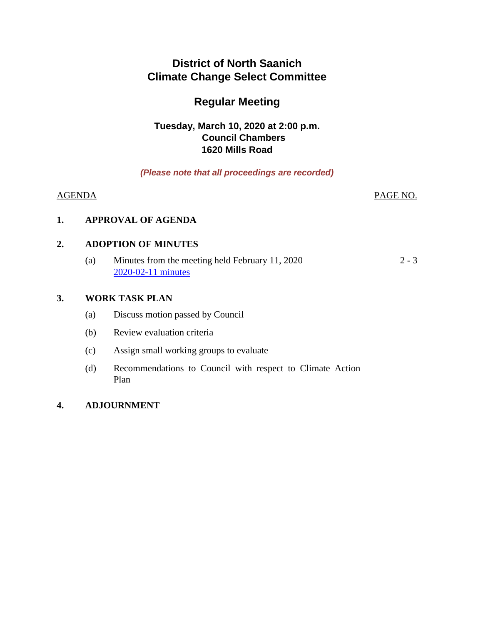# **District of North Saanich Climate Change Select Committee**

# **Regular Meeting**

## **Tuesday, March 10, 2020 at 2:00 p.m. Council Chambers 1620 Mills Road**

## *(Please note that all proceedings are recorded)*

#### AGENDA PAGE NO.

## **1. APPROVAL OF AGENDA**

## **2. ADOPTION OF MINUTES**

(a) Minutes from the meeting held February 11, 2020 [2020-02-11 minutes](#page-1-0)  $2 - 3$ 

## **3. WORK TASK PLAN**

- (a) Discuss motion passed by Council
- (b) Review evaluation criteria
- (c) Assign small working groups to evaluate
- (d) Recommendations to Council with respect to Climate Action Plan

## **4. ADJOURNMENT**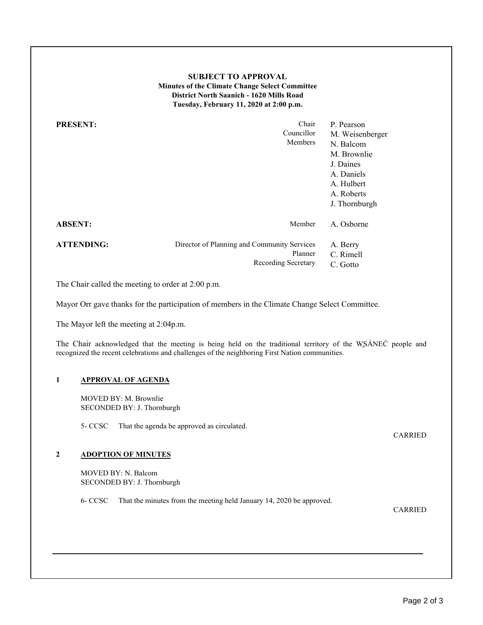#### **SUBJECT TO APPROVAL Minutes of the Climate Change Select Committee District North Saanich - 1620 Mills Road Tuesday, February 11, 2020 at 2:00 p.m.**

<span id="page-1-0"></span>

| <b>PRESENT:</b>   | Chair<br>Councillor<br><b>Members</b>                                         | P. Pearson<br>M. Weisenberger<br>N. Balcom<br>M. Brownlie<br>J. Daines<br>A. Daniels<br>A. Hulbert<br>A. Roberts<br>J. Thornburgh |
|-------------------|-------------------------------------------------------------------------------|-----------------------------------------------------------------------------------------------------------------------------------|
| <b>ABSENT:</b>    | Member                                                                        | A. Osborne                                                                                                                        |
| <b>ATTENDING:</b> | Director of Planning and Community Services<br>Planner<br>Recording Secretary | A. Berry<br>C. Rimell<br>C. Gotto                                                                                                 |

The Chair called the meeting to order at 2:00 p.m.

Mayor Orr gave thanks for the participation of members in the Climate Change Select Committee.

The Mayor left the meeting at 2:04p.m.

The Chair acknowledged that the meeting is being held on the traditional territory of the WSÁNEĆ people and recognized the recent celebrations and challenges of the neighboring First Nation communities.

#### **1 APPROVAL OF AGENDA**

MOVED BY: M. Brownlie SECONDED BY: J. Thornburgh

5- CCSC That the agenda be approved as circulated.

CARRIED

#### **2 ADOPTION OF MINUTES**

MOVED BY: N. Balcom SECONDED BY: J. Thornburgh

6- CCSC That the minutes from the meeting held January 14, 2020 be approved.

CARRIED